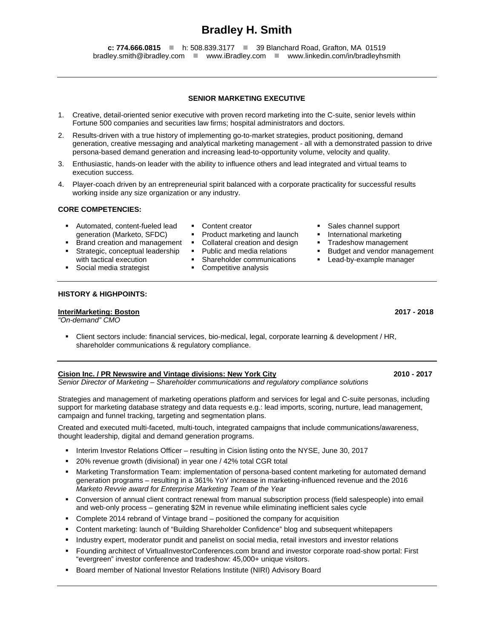# **Bradley H. Smith**

**c: 774.666.0815** ■ h: 508.839.3177 ■ 39 Blanchard Road, Grafton, MA 01519 bradley.smith@ibradley.com **www.iBradley.com** www.linkedin.com/in/bradleyhsmith

# **SENIOR MARKETING EXECUTIVE**

- 1. Creative, detail-oriented senior executive with proven record marketing into the C-suite, senior levels within Fortune 500 companies and securities law firms; hospital administrators and doctors.
- 2. Results-driven with a true history of implementing go-to-market strategies, product positioning, demand generation, creative messaging and analytical marketing management - all with a demonstrated passion to drive persona-based demand generation and increasing lead-to-opportunity volume, velocity and quality.
- 3. Enthusiastic, hands-on leader with the ability to influence others and lead integrated and virtual teams to execution success.
- 4. Player-coach driven by an entrepreneurial spirit balanced with a corporate practicality for successful results working inside any size organization or any industry.

# **CORE COMPETENCIES:**

- **Automated, content-fueled lead** generation (Marketo, SFDC) Brand creation and management
- 
- 
- Strategic, conceptual leadership
	- Public and media relations
	- **Shareholder communications**
	-
- Sales channel support
- International marketing
- Tradeshow management
- **Budget and vendor management**
- Lead-by-example manager

with tactical execution **Social media strategist** 

## **HISTORY & HIGHPOINTS:**

### **InteriMarketing: Boston 2017 - 2018**

*"On-demand" CMO*

 Client sectors include: financial services, bio-medical, legal, corporate learning & development / HR, shareholder communications & regulatory compliance.

# **Cision Inc. / PR Newswire and Vintage divisions: New York City 2010 - 2017**

*Senior Director of Marketing – Shareholder communications and regulatory compliance solutions*

Strategies and management of marketing operations platform and services for legal and C-suite personas, including support for marketing database strategy and data requests e.g.: lead imports, scoring, nurture, lead management, campaign and funnel tracking, targeting and segmentation plans.

Created and executed multi-faceted, multi-touch, integrated campaigns that include communications/awareness, thought leadership, digital and demand generation programs.

- Interim Investor Relations Officer resulting in Cision listing onto the NYSE, June 30, 2017
- 20% revenue growth (divisional) in year one / 42% total CGR total
- Marketing Transformation Team: implementation of persona-based content marketing for automated demand generation programs – resulting in a 361% YoY increase in marketing-influenced revenue and the 2016 *Marketo Revvie award for Enterprise Marketing Team of the Year*
- Conversion of annual client contract renewal from manual subscription process (field salespeople) into email and web-only process – generating \$2M in revenue while eliminating inefficient sales cycle
- Complete 2014 rebrand of Vintage brand positioned the company for acquisition
- Content marketing: launch of "Building Shareholder Confidence" blog and subsequent whitepapers
- Industry expert, moderator pundit and panelist on social media, retail investors and investor relations
- Founding architect of VirtualInvestorConferences.com brand and investor corporate road-show portal: First "evergreen" investor conference and tradeshow: 45,000+ unique visitors.
- **Board member of National Investor Relations Institute (NIRI) Advisory Board**

- 
- 
- 
- 

- 
- 
- Collateral creation and design
- 
- 
- **Competitive analysis**
- Content creator<br>• Product marketii ■ Product marketing and launch<br>■ Collateral creation and design
	-